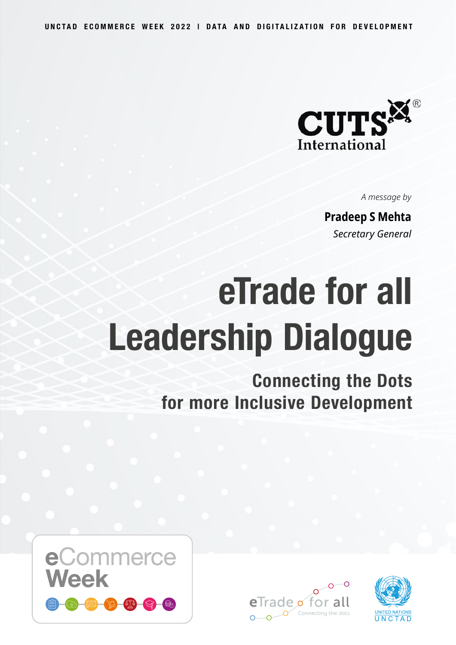

*A message by*

**Pradeep S Mehta** *Secretary General*

# **eTrade for all Leadership Dialogue**

**Connecting the Dots for more Inclusive Development**





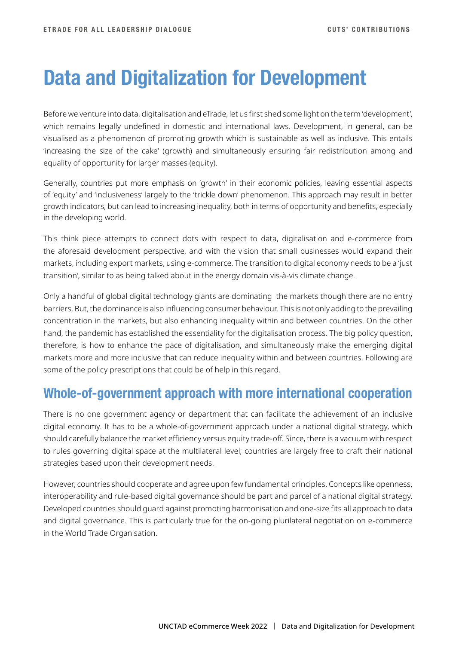## **Data and Digitalization for Development**

Before we venture into data, digitalisation and eTrade, let us first shed some light on the term 'development', which remains legally undefined in domestic and international laws. Development, in general, can be visualised as a phenomenon of promoting growth which is sustainable as well as inclusive. This entails 'increasing the size of the cake' (growth) and simultaneously ensuring fair redistribution among and equality of opportunity for larger masses (equity).

Generally, countries put more emphasis on 'growth' in their economic policies, leaving essential aspects of 'equity' and 'inclusiveness' largely to the 'trickle down' phenomenon. This approach may result in better growth indicators, but can lead to increasing inequality, both in terms of opportunity and benefits, especially in the developing world.

This think piece attempts to connect dots with respect to data, digitalisation and e-commerce from the aforesaid development perspective, and with the vision that small businesses would expand their markets, including export markets, using e-commerce. The transition to digital economy needs to be a 'just transition', similar to as being talked about in the energy domain vis-à-vis climate change.

Only a handful of global digital technology giants are dominating the markets though there are no entry barriers. But, the dominance is also influencing consumer behaviour. This is not only adding to the prevailing concentration in the markets, but also enhancing inequality within and between countries. On the other hand, the pandemic has established the essentiality for the digitalisation process. The big policy question, therefore, is how to enhance the pace of digitalisation, and simultaneously make the emerging digital markets more and more inclusive that can reduce inequality within and between countries. Following are some of the policy prescriptions that could be of help in this regard.

#### **Whole-of-government approach with more international cooperation**

There is no one government agency or department that can facilitate the achievement of an inclusive digital economy. It has to be a whole-of-government approach under a national digital strategy, which should carefully balance the market efficiency versus equity trade-off. Since, there is a vacuum with respect to rules governing digital space at the multilateral level; countries are largely free to craft their national strategies based upon their development needs.

However, countries should cooperate and agree upon few fundamental principles. Concepts like openness, interoperability and rule-based digital governance should be part and parcel of a national digital strategy. Developed countries should guard against promoting harmonisation and one-size fits all approach to data and digital governance. This is particularly true for the on-going plurilateral negotiation on e-commerce in the World Trade Organisation.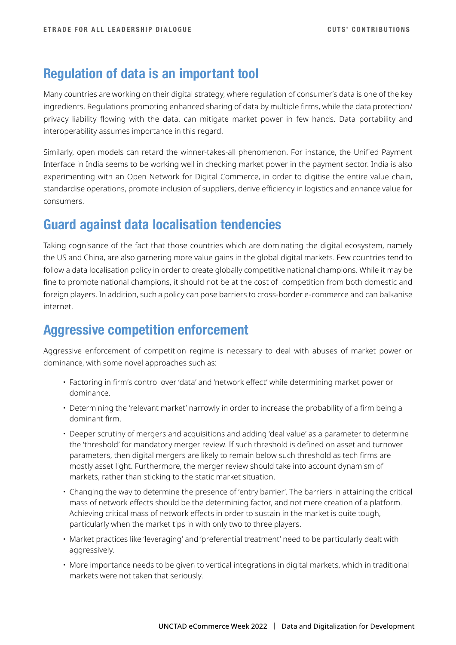#### **Regulation of data is an important tool**

Many countries are working on their digital strategy, where regulation of consumer's data is one of the key ingredients. Regulations promoting enhanced sharing of data by multiple firms, while the data protection/ privacy liability flowing with the data, can mitigate market power in few hands. Data portability and interoperability assumes importance in this regard.

Similarly, open models can retard the winner-takes-all phenomenon. For instance, the Unified Payment Interface in India seems to be working well in checking market power in the payment sector. India is also experimenting with an Open Network for Digital Commerce, in order to digitise the entire value chain, standardise operations, promote inclusion of suppliers, derive efficiency in logistics and enhance value for consumers.

#### **Guard against data localisation tendencies**

Taking cognisance of the fact that those countries which are dominating the digital ecosystem, namely the US and China, are also garnering more value gains in the global digital markets. Few countries tend to follow a data localisation policy in order to create globally competitive national champions. While it may be fine to promote national champions, it should not be at the cost of competition from both domestic and foreign players. In addition, such a policy can pose barriers to cross-border e-commerce and can balkanise internet.

### **Aggressive competition enforcement**

Aggressive enforcement of competition regime is necessary to deal with abuses of market power or dominance, with some novel approaches such as:

- Factoring in firm's control over 'data' and 'network effect' while determining market power or dominance.
- Determining the 'relevant market' narrowly in order to increase the probability of a firm being a dominant firm.
- Deeper scrutiny of mergers and acquisitions and adding 'deal value' as a parameter to determine the 'threshold' for mandatory merger review. If such threshold is defined on asset and turnover parameters, then digital mergers are likely to remain below such threshold as tech firms are mostly asset light. Furthermore, the merger review should take into account dynamism of markets, rather than sticking to the static market situation.
- Changing the way to determine the presence of 'entry barrier'. The barriers in attaining the critical mass of network effects should be the determining factor, and not mere creation of a platform. Achieving critical mass of network effects in order to sustain in the market is quite tough, particularly when the market tips in with only two to three players.
- Market practices like 'leveraging' and 'preferential treatment' need to be particularly dealt with aggressively.
- More importance needs to be given to vertical integrations in digital markets, which in traditional markets were not taken that seriously.